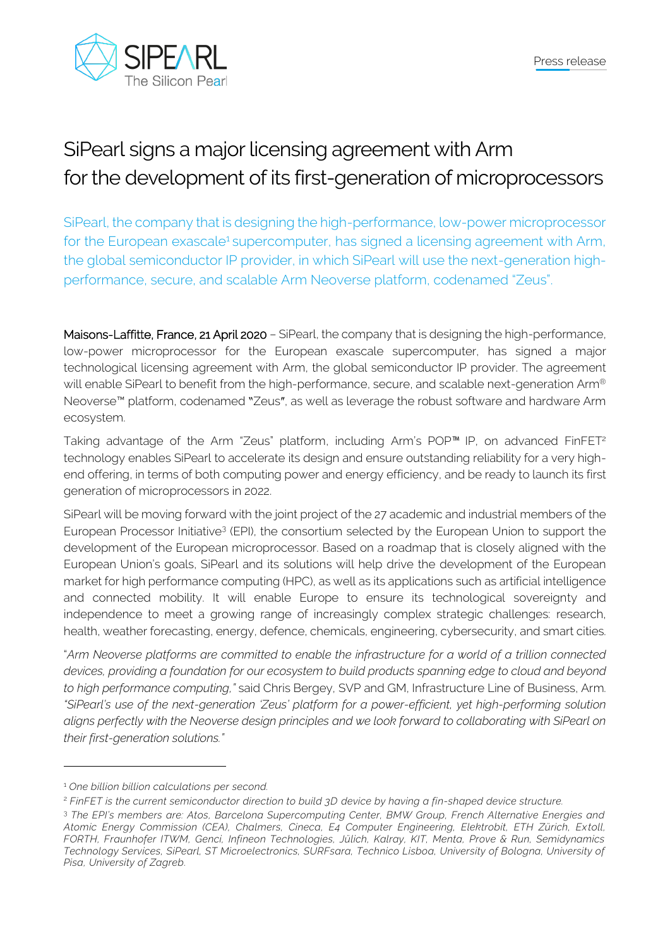



## SiPearl signs a major licensing agreement with Arm for the development of its first-generation of microprocessors

SiPearl, the company that is designing the high-performance, low-power microprocessor for the European exascale<sup>1</sup> supercomputer, has signed a licensing agreement with Arm, the global semiconductor IP provider, in which SiPearl will use the next-generation highperformance, secure, and scalable Arm Neoverse platform, codenamed "Zeus".

Maisons-Laffitte, France, 21 April 2020 – SiPearl, the company that is designing the high-performance, low-power microprocessor for the European exascale supercomputer, has signed a major technological licensing agreement with Arm, the global semiconductor IP provider. The agreement will enable SiPearl to benefit from the high-performance, secure, and scalable next-generation Arm® Neoverse™ platform, codenamed "Zeus", as well as leverage the robust software and hardware Arm ecosystem.

Taking advantage of the Arm "Zeus" platform, including Arm's POP™ IP, on advanced FinFET<sup>2</sup> technology enables SiPearl to accelerate its design and ensure outstanding reliability for a very highend offering, in terms of both computing power and energy efficiency, and be ready to launch its first generation of microprocessors in 2022.

SiPearl will be moving forward with the joint project of the 27 academic and industrial members of the European Processor Initiative<sup>3</sup> (EPI), the consortium selected by the European Union to support the development of the European microprocessor. Based on a roadmap that is closely aligned with the European Union's goals, SiPearl and its solutions will help drive the development of the European market for high performance computing (HPC), as well as its applications such as artificial intelligence and connected mobility. It will enable Europe to ensure its technological sovereignty and independence to meet a growing range of increasingly complex strategic challenges: research, health, weather forecasting, energy, defence, chemicals, engineering, cybersecurity, and smart cities.

"*Arm Neoverse platforms are committed to enable the infrastructure for a world of a trillion connected devices, providing a foundation for our ecosystem to build products spanning edge to cloud and beyond to high performance computing,"* said Chris Bergey, SVP and GM, Infrastructure Line of Business, Arm. *"SiPearl's use of the next-generation 'Zeus' platform for a power-efficient, yet high-performing solution aligns perfectly with the Neoverse design principles and we look forward to collaborating with SiPearl on their first-generation solutions."*

<sup>1</sup> *One billion billion calculations per second.*

<sup>2</sup> *FinFET is the current semiconductor direction to build 3D device by having a fin-shaped device structure.*

<sup>3</sup> *The EPI's members are: Atos, Barcelona Supercomputing Center, BMW Group, French Alternative Energies and Atomic Energy Commission (CEA), Chalmers, Cineca, E4 Computer Engineering, Elektrobit, ETH Zürich, Ex toll, FORTH, Fraunhofer ITWM, Genci, Infineon Technologies, Jülich, Kalray, KIT, Menta, Prove & Run, Semidynamics Technology Services, SiPearl, ST Microelectronics, SURFsara, Technico Lisboa, University of Bologna, University of Pisa, University of Zagreb.*